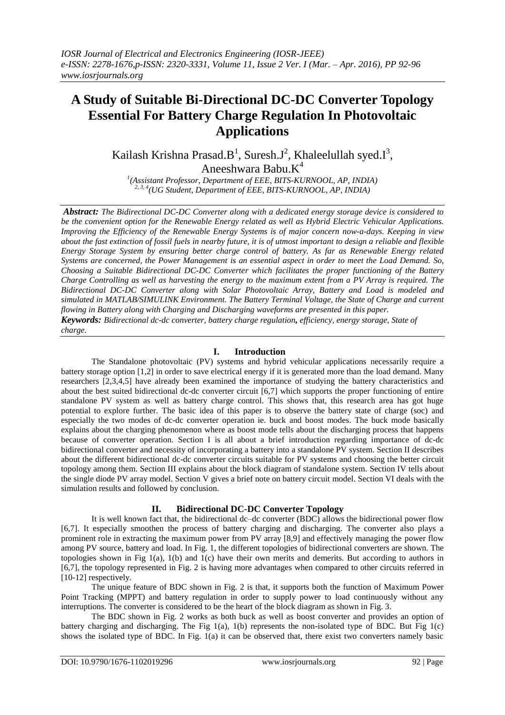# **A Study of Suitable Bi-Directional DC-DC Converter Topology Essential For Battery Charge Regulation In Photovoltaic Applications**

Kailash Krishna Prasad.B<sup>1</sup>, Suresh.J<sup>2</sup>, Khaleelullah syed.I<sup>3</sup>, Aneeshwara Babu. $K^4$ 

*1 (Assistant Professor, Department of EEE, BITS-KURNOOL, AP, INDIA) 2, 3, 4(UG Student, Department of EEE, BITS-KURNOOL, AP, INDIA)*

*Abstract: The Bidirectional DC-DC Converter along with a dedicated energy storage device is considered to be the convenient option for the Renewable Energy related as well as Hybrid Electric Vehicular Applications. Improving the Efficiency of the Renewable Energy Systems is of major concern now-a-days. Keeping in view about the fast extinction of fossil fuels in nearby future, it is of utmost important to design a reliable and flexible Energy Storage System by ensuring better charge control of battery. As far as Renewable Energy related Systems are concerned, the Power Management is an essential aspect in order to meet the Load Demand. So, Choosing a Suitable Bidirectional DC-DC Converter which facilitates the proper functioning of the Battery Charge Controlling as well as harvesting the energy to the maximum extent from a PV Array is required. The Bidirectional DC-DC Converter along with Solar Photovoltaic Array, Battery and Load is modeled and simulated in MATLAB/SIMULINK Environment. The Battery Terminal Voltage, the State of Charge and current flowing in Battery along with Charging and Discharging waveforms are presented in this paper. Keywords: Bidirectional dc-dc converter, battery charge regulation, efficiency, energy storage, State of charge.*

# **I. Introduction**

The Standalone photovoltaic (PV) systems and hybrid vehicular applications necessarily require a battery storage option [1,2] in order to save electrical energy if it is generated more than the load demand. Many researchers [2,3,4,5] have already been examined the importance of studying the battery characteristics and about the best suited bidirectional dc-dc converter circuit [6,7] which supports the proper functioning of entire standalone PV system as well as battery charge control. This shows that, this research area has got huge potential to explore further. The basic idea of this paper is to observe the battery state of charge (soc) and especially the two modes of dc-dc converter operation ie. buck and boost modes. The buck mode basically explains about the charging phenomenon where as boost mode tells about the discharging process that happens because of converter operation. Section I is all about a brief introduction regarding importance of dc-dc bidirectional converter and necessity of incorporating a battery into a standalone PV system. Section II describes about the different bidirectional dc-dc converter circuits suitable for PV systems and choosing the better circuit topology among them. Section III explains about the block diagram of standalone system. Section IV tells about the single diode PV array model. Section V gives a brief note on battery circuit model. Section VI deals with the simulation results and followed by conclusion.

## **II. Bidirectional DC-DC Converter Topology**

It is well known fact that, the bidirectional dc–dc converter (BDC) allows the bidirectional power flow [6,7]. It especially smoothen the process of battery charging and discharging. The converter also plays a prominent role in extracting the maximum power from PV array [8,9] and effectively managing the power flow among PV source, battery and load. In Fig. 1, the different topologies of bidirectional converters are shown. The topologies shown in Fig 1(a), 1(b) and 1(c) have their own merits and demerits. But according to authors in [6,7], the topology represented in Fig. 2 is having more advantages when compared to other circuits referred in [10-12] respectively.

The unique feature of BDC shown in Fig. 2 is that, it supports both the function of Maximum Power Point Tracking (MPPT) and battery regulation in order to supply power to load continuously without any interruptions. The converter is considered to be the heart of the block diagram as shown in Fig. 3.

The BDC shown in Fig. 2 works as both buck as well as boost converter and provides an option of battery charging and discharging. The Fig 1(a), 1(b) represents the non-isolated type of BDC. But Fig 1(c) shows the isolated type of BDC. In Fig. 1(a) it can be observed that, there exist two converters namely basic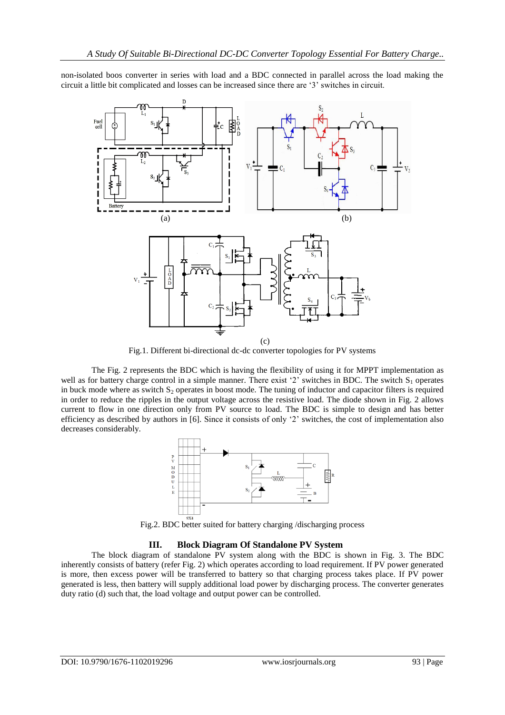non-isolated boos converter in series with load and a BDC connected in parallel across the load making the circuit a little bit complicated and losses can be increased since there are "3" switches in circuit.



Fig.1. Different bi-directional dc-dc converter topologies for PV systems

The Fig. 2 represents the BDC which is having the flexibility of using it for MPPT implementation as well as for battery charge control in a simple manner. There exist '2' switches in BDC. The switch  $S_1$  operates in buck mode where as switch  $S_2$  operates in boost mode. The tuning of inductor and capacitor filters is required in order to reduce the ripples in the output voltage across the resistive load. The diode shown in Fig. 2 allows current to flow in one direction only from PV source to load. The BDC is simple to design and has better efficiency as described by authors in [6]. Since it consists of only "2" switches, the cost of implementation also decreases considerably.



Fig.2. BDC better suited for battery charging /discharging process

## **III. Block Diagram Of Standalone PV System**

The block diagram of standalone PV system along with the BDC is shown in Fig. 3. The BDC inherently consists of battery (refer Fig. 2) which operates according to load requirement. If PV power generated is more, then excess power will be transferred to battery so that charging process takes place. If PV power generated is less, then battery will supply additional load power by discharging process. The converter generates duty ratio (d) such that, the load voltage and output power can be controlled.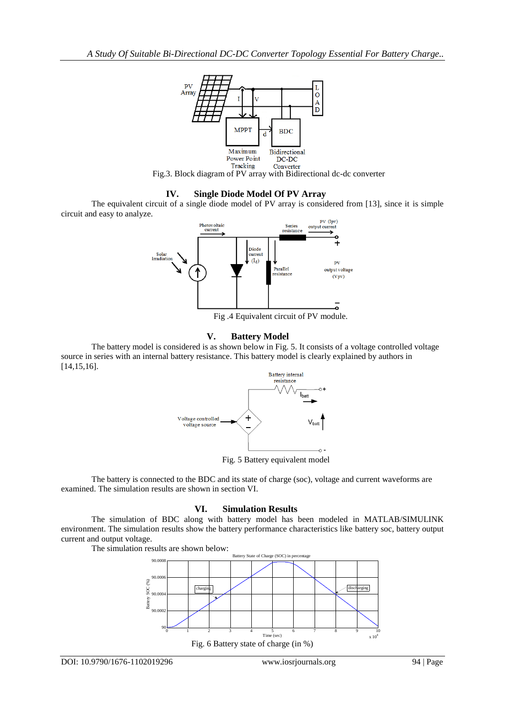

Fig.3. Block diagram of PV array with Bidirectional dc-dc converter

#### **IV. Single Diode Model Of PV Array**

The equivalent circuit of a single diode model of PV array is considered from [13], since it is simple circuit and easy to analyze.



Fig .4 Equivalent circuit of PV module.

## **V. Battery Model**

The battery model is considered is as shown below in Fig. 5. It consists of a voltage controlled voltage source in series with an internal battery resistance. This battery model is clearly explained by authors in [14,15,16].



Fig. 5 Battery equivalent model

The battery is connected to the BDC and its state of charge (soc), voltage and current waveforms are examined. The simulation results are shown in section VI.

## **VI. Simulation Results**

The simulation of BDC along with battery model has been modeled in MATLAB/SIMULINK environment. The simulation results show the battery performance characteristics like battery soc, battery output current and output voltage.

The simulation results are shown below:

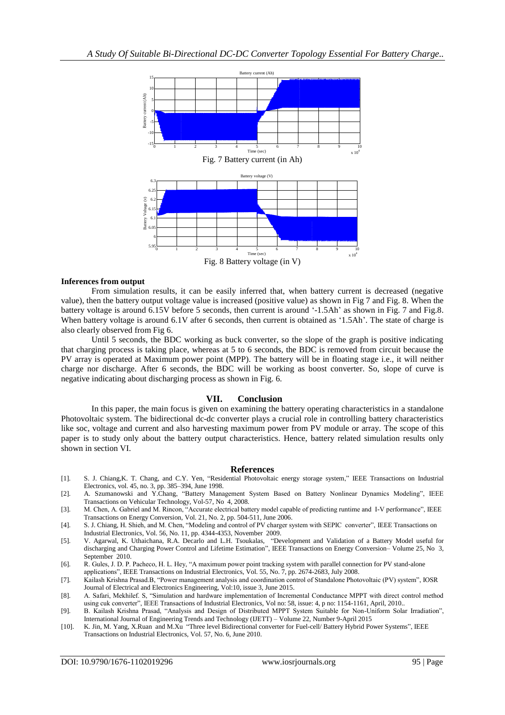

#### **Inferences from output**

From simulation results, it can be easily inferred that, when battery current is decreased (negative value), then the battery output voltage value is increased (positive value) as shown in Fig 7 and Fig. 8. When the battery voltage is around 6.15V before 5 seconds, then current is around '-1.5Ah' as shown in Fig. 7 and Fig.8. When battery voltage is around 6.1V after 6 seconds, then current is obtained as '1.5Ah'. The state of charge is also clearly observed from Fig 6.

Until 5 seconds, the BDC working as buck converter, so the slope of the graph is positive indicating that charging process is taking place, whereas at 5 to 6 seconds, the BDC is removed from circuit because the PV array is operated at Maximum power point (MPP). The battery will be in floating stage i.e., it will neither charge nor discharge. After 6 seconds, the BDC will be working as boost converter. So, slope of curve is negative indicating about discharging process as shown in Fig. 6.

#### **VII. Conclusion**

In this paper, the main focus is given on examining the battery operating characteristics in a standalone Photovoltaic system. The bidirectional dc-dc converter plays a crucial role in controlling battery characteristics like soc, voltage and current and also harvesting maximum power from PV module or array. The scope of this paper is to study only about the battery output characteristics. Hence, battery related simulation results only shown in section VI.

#### **References**

- [1]. S. J. Chiang,K. T. Chang, and C.Y. Yen, "Residential Photovoltaic energy storage system," IEEE Transactions on Industrial Electronics, vol. 45, no. 3, pp. 385–394, June 1998.
- [2]. A. Szumanowski and Y.Chang, "Battery Management System Based on Battery Nonlinear Dynamics Modeling", IEEE Transactions on Vehicular Technology, Vol-57, No 4, 2008.
- [3]. M. Chen, A. Gabriel and M. Rincon, "Accurate electrical battery model capable of predicting runtime and I-V performance", IEEE Transactions on Energy Conversion, Vol. 21, No. 2, pp. 504-511, June 2006.
- [4]. S. J. Chiang, H. Shieh, and M. Chen, "Modeling and control of PV charger system with SEPIC converter", IEEE Transactions on Industrial Electronics, Vol. 56, No. 11, pp. 4344-4353, November 2009.
- [5]. V. Agarwal, K. Uthaichana, R.A. Decarlo and L.H. Tsoukalas, "Development and Validation of a Battery Model useful for discharging and Charging Power Control and Lifetime Estimation", IEEE Transactions on Energy Conversion– Volume 25, No 3, September 2010.
- [6]. R. Gules, J. D. P. Pacheco, H. L. Hey, "A maximum power point tracking system with parallel connection for PV stand-alone
- applications", IEEE Transactions on Industrial Electronics, Vol. 55, No. 7, pp. 2674-2683, July 2008.

[7]. Kailash Krishna Prasad.B, "Power management analysis and coordination control of Standalone Photovoltaic (PV) system", IOSR Journal of Electrical and Electronics Engineering, Vol:10, issue 3, June 2015.

- [8]. A. Safari, Mekhilef. S, "Simulation and hardware implementation of Incremental Conductance MPPT with direct control method using cuk converter", IEEE Transactions of Industrial Electronics, Vol no: 58, issue: 4, p no: 1154-1161, April, 2010..
- [9]. B. Kailash Krishna Prasad, "Analysis and Design of Distributed MPPT System Suitable for Non-Uniform Solar Irradiation", International Journal of Engineering Trends and Technology (IJETT) – Volume 22, Number 9-April 2015
- [10]. K. Jin, M. Yang, X.Ruan and M.Xu "Three level Bidirectional converter for Fuel-cell/ Battery Hybrid Power Systems", IEEE Transactions on Industrial Electronics, Vol. 57, No. 6, June 2010.